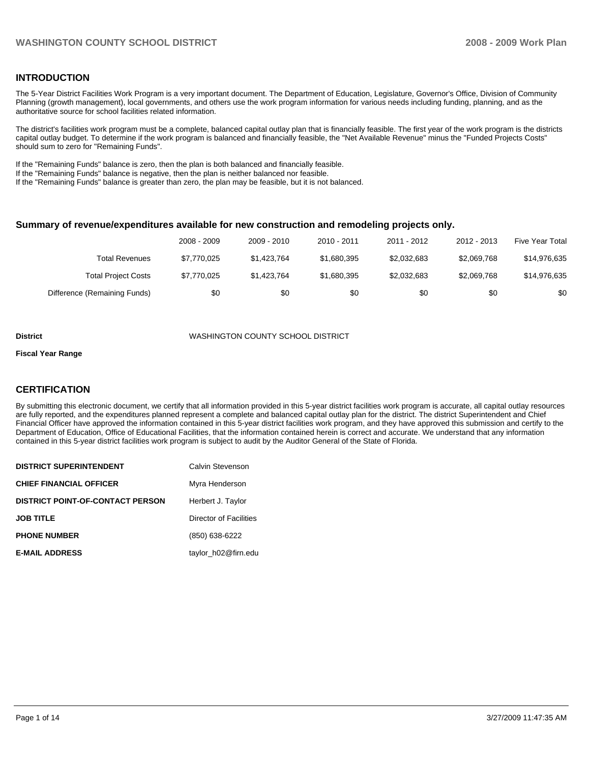## **INTRODUCTION**

The 5-Year District Facilities Work Program is a very important document. The Department of Education, Legislature, Governor's Office, Division of Community Planning (growth management), local governments, and others use the work program information for various needs including funding, planning, and as the authoritative source for school facilities related information.

The district's facilities work program must be a complete, balanced capital outlay plan that is financially feasible. The first year of the work program is the districts capital outlay budget. To determine if the work program is balanced and financially feasible, the "Net Available Revenue" minus the "Funded Projects Costs" should sum to zero for "Remaining Funds".

If the "Remaining Funds" balance is zero, then the plan is both balanced and financially feasible.

If the "Remaining Funds" balance is negative, then the plan is neither balanced nor feasible.

If the "Remaining Funds" balance is greater than zero, the plan may be feasible, but it is not balanced.

## **Summary of revenue/expenditures available for new construction and remodeling projects only.**

|                              | 2008 - 2009 | 2009 - 2010 | $2010 - 2011$ | 2011 - 2012 | 2012 - 2013 | <b>Five Year Total</b> |
|------------------------------|-------------|-------------|---------------|-------------|-------------|------------------------|
| Total Revenues               | \$7.770.025 | \$1.423.764 | \$1,680,395   | \$2,032,683 | \$2.069.768 | \$14,976,635           |
| <b>Total Project Costs</b>   | \$7,770,025 | \$1.423.764 | \$1,680,395   | \$2,032,683 | \$2,069,768 | \$14,976,635           |
| Difference (Remaining Funds) | \$0         | \$0         | \$0           | \$0         | \$0         | \$0                    |

#### **District** WASHINGTON COUNTY SCHOOL DISTRICT

#### **Fiscal Year Range**

## **CERTIFICATION**

By submitting this electronic document, we certify that all information provided in this 5-year district facilities work program is accurate, all capital outlay resources are fully reported, and the expenditures planned represent a complete and balanced capital outlay plan for the district. The district Superintendent and Chief Financial Officer have approved the information contained in this 5-year district facilities work program, and they have approved this submission and certify to the Department of Education, Office of Educational Facilities, that the information contained herein is correct and accurate. We understand that any information contained in this 5-year district facilities work program is subject to audit by the Auditor General of the State of Florida.

| <b>DISTRICT SUPERINTENDENT</b>          | Calvin Stevenson       |
|-----------------------------------------|------------------------|
| <b>CHIEF FINANCIAL OFFICER</b>          | Myra Henderson         |
| <b>DISTRICT POINT-OF-CONTACT PERSON</b> | Herbert J. Taylor      |
| <b>JOB TITLE</b>                        | Director of Facilities |
| <b>PHONE NUMBER</b>                     | (850) 638-6222         |
| <b>E-MAIL ADDRESS</b>                   | taylor h02@firn.edu    |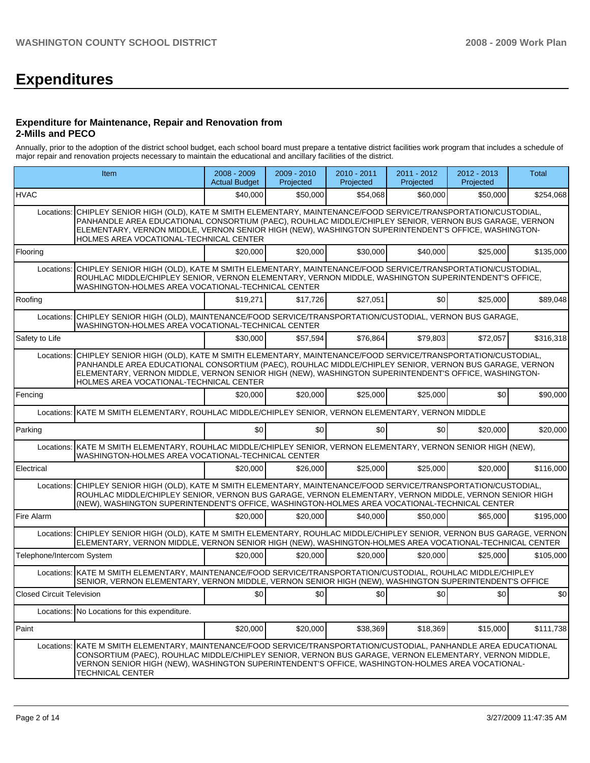# **Expenditures**

#### **Expenditure for Maintenance, Repair and Renovation from 2-Mills and PECO**

Annually, prior to the adoption of the district school budget, each school board must prepare a tentative district facilities work program that includes a schedule of major repair and renovation projects necessary to maintain the educational and ancillary facilities of the district.

|                                  | Item                                                                                                                                                                                                                                                                                                                                                                              |          | 2009 - 2010<br>Projected | 2010 - 2011<br>Projected | 2011 - 2012<br>Projected | 2012 - 2013<br>Projected | <b>Total</b> |  |  |  |
|----------------------------------|-----------------------------------------------------------------------------------------------------------------------------------------------------------------------------------------------------------------------------------------------------------------------------------------------------------------------------------------------------------------------------------|----------|--------------------------|--------------------------|--------------------------|--------------------------|--------------|--|--|--|
| <b>HVAC</b>                      |                                                                                                                                                                                                                                                                                                                                                                                   | \$40,000 | \$50,000                 | \$54,068                 | \$60,000                 | \$50,000                 | \$254,068    |  |  |  |
|                                  | CHIPLEY SENIOR HIGH (OLD), KATE M SMITH ELEMENTARY, MAINTENANCE/FOOD SERVICE/TRANSPORTATION/CUSTODIAL,<br>Locations:<br>PANHANDLE AREA EDUCATIONAL CONSORTIUM (PAEC), ROUHLAC MIDDLE/CHIPLEY SENIOR, VERNON BUS GARAGE, VERNON<br>ELEMENTARY, VERNON MIDDLE, VERNON SENIOR HIGH (NEW), WASHINGTON SUPERINTENDENT'S OFFICE, WASHINGTON-<br>HOLMES AREA VOCATIONAL-TECHNICAL CENTER |          |                          |                          |                          |                          |              |  |  |  |
| Flooring                         |                                                                                                                                                                                                                                                                                                                                                                                   | \$20,000 | \$20,000                 | \$30,000                 | \$40,000                 | \$25,000                 | \$135,000    |  |  |  |
| Locations:                       | CHIPLEY SENIOR HIGH (OLD), KATE M SMITH ELEMENTARY, MAINTENANCE/FOOD SERVICE/TRANSPORTATION/CUSTODIAL,<br>ROUHLAC MIDDLE/CHIPLEY SENIOR, VERNON ELEMENTARY, VERNON MIDDLE, WASHINGTON SUPERINTENDENT'S OFFICE,<br>WASHINGTON-HOLMES AREA VOCATIONAL-TECHNICAL CENTER                                                                                                              |          |                          |                          |                          |                          |              |  |  |  |
| Roofing                          |                                                                                                                                                                                                                                                                                                                                                                                   | \$19,271 | \$17,726                 | \$27,051                 | \$0                      | \$25,000                 | \$89.048     |  |  |  |
| Locations:                       | CHIPLEY SENIOR HIGH (OLD), MAINTENANCE/FOOD SERVICE/TRANSPORTATION/CUSTODIAL, VERNON BUS GARAGE,<br>WASHINGTON-HOLMES AREA VOCATIONAL-TECHNICAL CENTER                                                                                                                                                                                                                            |          |                          |                          |                          |                          |              |  |  |  |
| Safety to Life                   |                                                                                                                                                                                                                                                                                                                                                                                   | \$30,000 | \$57,594                 | \$76,864                 | \$79,803                 | \$72,057                 | \$316,318    |  |  |  |
| Locations:                       | CHIPLEY SENIOR HIGH (OLD), KATE M SMITH ELEMENTARY, MAINTENANCE/FOOD SERVICE/TRANSPORTATION/CUSTODIAL,<br>PANHANDLE AREA EDUCATIONAL CONSORTIUM (PAEC), ROUHLAC MIDDLE/CHIPLEY SENIOR, VERNON BUS GARAGE, VERNON<br>ELEMENTARY, VERNON MIDDLE, VERNON SENIOR HIGH (NEW), WASHINGTON SUPERINTENDENT'S OFFICE, WASHINGTON-<br>HOLMES AREA VOCATIONAL-TECHNICAL CENTER               |          |                          |                          |                          |                          |              |  |  |  |
| Fencing                          |                                                                                                                                                                                                                                                                                                                                                                                   | \$20,000 | \$20,000                 | \$25,000                 | \$25,000                 | \$0                      | \$90,000     |  |  |  |
|                                  | Locations: KATE M SMITH ELEMENTARY, ROUHLAC MIDDLE/CHIPLEY SENIOR, VERNON ELEMENTARY, VERNON MIDDLE                                                                                                                                                                                                                                                                               |          |                          |                          |                          |                          |              |  |  |  |
| Parking                          |                                                                                                                                                                                                                                                                                                                                                                                   | \$0      | \$0                      | \$0                      | \$0                      | \$20,000                 | \$20,000     |  |  |  |
|                                  | Locations: KATE M SMITH ELEMENTARY, ROUHLAC MIDDLE/CHIPLEY SENIOR, VERNON ELEMENTARY, VERNON SENIOR HIGH (NEW),<br>WASHINGTON-HOLMES AREA VOCATIONAL-TECHNICAL CENTER                                                                                                                                                                                                             |          |                          |                          |                          |                          |              |  |  |  |
| Electrical                       |                                                                                                                                                                                                                                                                                                                                                                                   | \$20,000 | \$26,000                 | \$25,000                 | \$25,000                 | \$20,000                 | \$116,000    |  |  |  |
|                                  | Locations: CHIPLEY SENIOR HIGH (OLD), KATE M SMITH ELEMENTARY, MAINTENANCE/FOOD SERVICE/TRANSPORTATION/CUSTODIAL,<br>ROUHLAC MIDDLE/CHIPLEY SENIOR, VERNON BUS GARAGE, VERNON ELEMENTARY, VERNON MIDDLE, VERNON SENIOR HIGH<br>(NEW), WASHINGTON SUPERINTENDENT'S OFFICE, WASHINGTON-HOLMES AREA VOCATIONAL-TECHNICAL CENTER                                                      |          |                          |                          |                          |                          |              |  |  |  |
| Fire Alarm                       |                                                                                                                                                                                                                                                                                                                                                                                   | \$20,000 | \$20,000                 | \$40,000                 | \$50,000                 | \$65,000                 | \$195,000    |  |  |  |
|                                  | Locations: CHIPLEY SENIOR HIGH (OLD), KATE M SMITH ELEMENTARY, ROUHLAC MIDDLE/CHIPLEY SENIOR, VERNON BUS GARAGE, VERNON<br>ELEMENTARY, VERNON MIDDLE, VERNON SENIOR HIGH (NEW), WASHINGTON-HOLMES AREA VOCATIONAL-TECHNICAL CENTER                                                                                                                                                |          |                          |                          |                          |                          |              |  |  |  |
| Telephone/Intercom System        |                                                                                                                                                                                                                                                                                                                                                                                   | \$20,000 | \$20,000                 | \$20,000                 | \$20.000                 | \$25,000                 | \$105,000    |  |  |  |
|                                  | Locations: KATE M SMITH ELEMENTARY, MAINTENANCE/FOOD SERVICE/TRANSPORTATION/CUSTODIAL, ROUHLAC MIDDLE/CHIPLEY<br>SENIOR, VERNON ELEMENTARY, VERNON MIDDLE, VERNON SENIOR HIGH (NEW), WASHINGTON SUPERINTENDENT'S OFFICE                                                                                                                                                           |          |                          |                          |                          |                          |              |  |  |  |
| <b>Closed Circuit Television</b> |                                                                                                                                                                                                                                                                                                                                                                                   | \$0      | \$0                      | \$0                      | \$0                      | \$0                      | \$0          |  |  |  |
|                                  | Locations: No Locations for this expenditure.                                                                                                                                                                                                                                                                                                                                     |          |                          |                          |                          |                          |              |  |  |  |
| Paint                            |                                                                                                                                                                                                                                                                                                                                                                                   | \$20,000 | \$20,000                 | \$38,369                 | \$18,369                 | \$15,000                 | \$111,738    |  |  |  |
| Locations:                       | KATE M SMITH ELEMENTARY, MAINTENANCE/FOOD SERVICE/TRANSPORTATION/CUSTODIAL, PANHANDLE AREA EDUCATIONAL<br>CONSORTIUM (PAEC), ROUHLAC MIDDLE/CHIPLEY SENIOR, VERNON BUS GARAGE, VERNON ELEMENTARY, VERNON MIDDLE,<br>VERNON SENIOR HIGH (NEW), WASHINGTON SUPERINTENDENT'S OFFICE, WASHINGTON-HOLMES AREA VOCATIONAL-<br><b>TECHNICAL CENTER</b>                                   |          |                          |                          |                          |                          |              |  |  |  |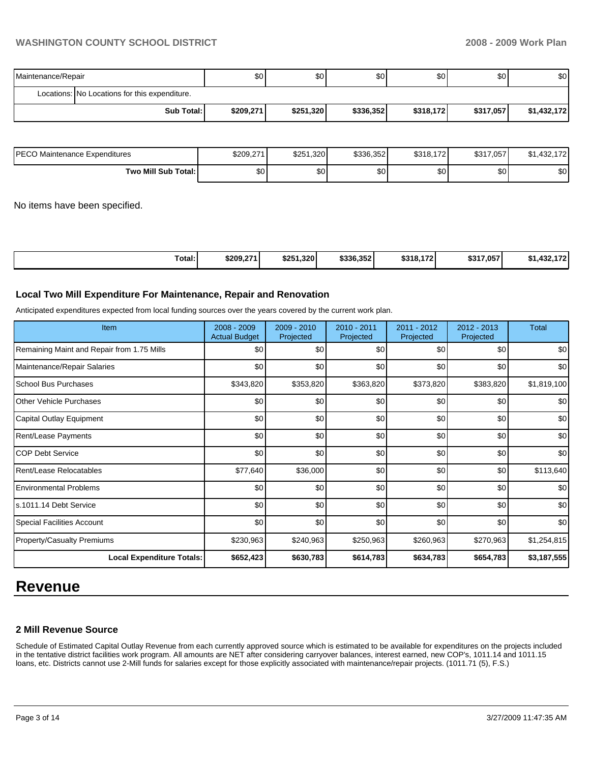| Maintenance/Repair |                                               | \$0       | \$0 <sub>1</sub> | \$0       | \$0       | \$0 <sub>1</sub> | \$0         |
|--------------------|-----------------------------------------------|-----------|------------------|-----------|-----------|------------------|-------------|
|                    | Locations: No Locations for this expenditure. |           |                  |           |           |                  |             |
|                    | Sub Total: I                                  | \$209,271 | \$251,320        | \$336,352 | \$318.172 | \$317,057        | \$1,432,172 |

| IPECO Maintenance Expenditures | \$209,271 | \$251,320 | \$336.352 | \$318,172 | \$317,057 | 470<br>.432.172<br>JD I |
|--------------------------------|-----------|-----------|-----------|-----------|-----------|-------------------------|
| Two Mill Sub Total:            | \$0       | \$٥Ι      | \$0       | \$0       | \$0       | \$0                     |

No items have been specified.

| Total:<br>\$251.320<br>\$336,352<br>\$209,271<br>\$317.057<br>470<br>\$318.172<br>$\sqrt{2}$<br>А4<br>ו ה<br>, 1.432. I I Z |
|-----------------------------------------------------------------------------------------------------------------------------|
|-----------------------------------------------------------------------------------------------------------------------------|

### **Local Two Mill Expenditure For Maintenance, Repair and Renovation**

Anticipated expenditures expected from local funding sources over the years covered by the current work plan.

| Item                                       | 2008 - 2009<br><b>Actual Budget</b> | 2009 - 2010<br>Projected | 2010 - 2011<br>Projected | 2011 - 2012<br>Projected | 2012 - 2013<br>Projected | <b>Total</b>     |
|--------------------------------------------|-------------------------------------|--------------------------|--------------------------|--------------------------|--------------------------|------------------|
| Remaining Maint and Repair from 1.75 Mills | \$0                                 | \$0                      | \$0                      | \$0                      | \$0                      | \$0              |
| Maintenance/Repair Salaries                | \$0                                 | \$0                      | \$0                      | \$0                      | \$0                      | \$0              |
| <b>School Bus Purchases</b>                | \$343,820                           | \$353,820                | \$363,820                | \$373,820                | \$383,820                | \$1,819,100      |
| <b>O</b> ther Vehicle Purchases            | \$0                                 | \$0                      | \$0                      | \$0                      | \$0                      | \$0 <sub>1</sub> |
| Capital Outlay Equipment                   | \$0                                 | \$0                      | \$0                      | \$0                      | \$0                      | \$0              |
| <b>Rent/Lease Payments</b>                 | \$0                                 | \$0                      | \$0                      | \$0                      | \$0                      | \$0              |
| ICOP Debt Service                          | \$0                                 | \$0                      | \$0                      | \$0                      | \$0                      | \$0              |
| Rent/Lease Relocatables                    | \$77,640                            | \$36,000                 | \$0                      | \$0                      | \$0                      | \$113,640        |
| <b>Environmental Problems</b>              | \$0                                 | \$0                      | \$0                      | \$0                      | \$0                      | \$0              |
| s.1011.14 Debt Service                     | \$0                                 | \$0                      | \$0                      | \$0                      | \$0                      | \$0              |
| <b>Special Facilities Account</b>          | \$0                                 | \$0                      | \$0                      | \$0                      | \$0                      | \$0              |
| Property/Casualty Premiums                 | \$230,963                           | \$240,963                | \$250,963                | \$260,963                | \$270,963                | \$1,254,815      |
| <b>Local Expenditure Totals:</b>           | \$652,423                           | \$630,783                | \$614,783                | \$634,783                | \$654,783                | \$3,187,555      |

# **Revenue**

## **2 Mill Revenue Source**

Schedule of Estimated Capital Outlay Revenue from each currently approved source which is estimated to be available for expenditures on the projects included in the tentative district facilities work program. All amounts are NET after considering carryover balances, interest earned, new COP's, 1011.14 and 1011.15 loans, etc. Districts cannot use 2-Mill funds for salaries except for those explicitly associated with maintenance/repair projects. (1011.71 (5), F.S.)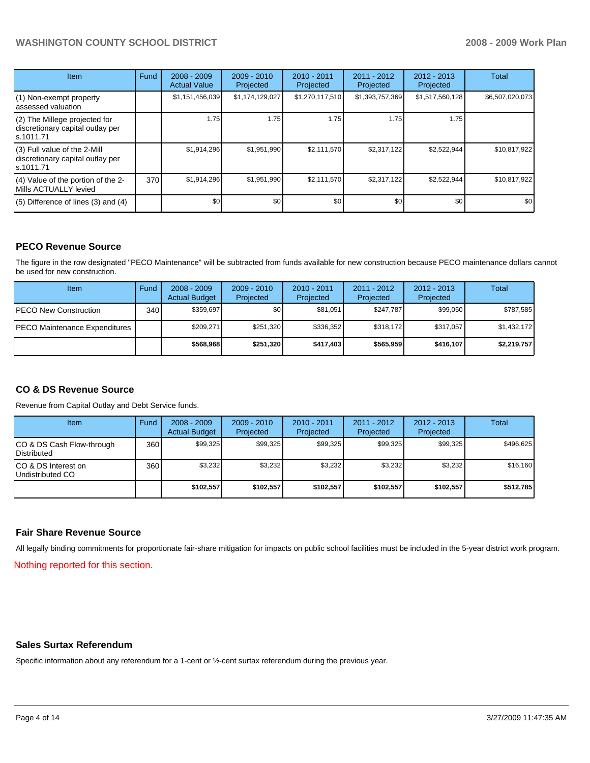| <b>Item</b>                                                                    | Fund | $2008 - 2009$<br><b>Actual Value</b> | $2009 - 2010$<br>Projected | $2010 - 2011$<br>Projected | 2011 - 2012<br>Projected | $2012 - 2013$<br>Projected | Total           |
|--------------------------------------------------------------------------------|------|--------------------------------------|----------------------------|----------------------------|--------------------------|----------------------------|-----------------|
| (1) Non-exempt property<br>assessed valuation                                  |      | \$1,151,456,039                      | \$1,174,129,027            | \$1,270,117,510            | \$1,393,757,369          | \$1,517,560,128            | \$6,507,020,073 |
| (2) The Millege projected for<br>discretionary capital outlay per<br>s.1011.71 |      | 1.75                                 | 1.75                       | 1.75                       | 1.75                     | 1.75                       |                 |
| (3) Full value of the 2-Mill<br>discretionary capital outlay per<br>s.1011.71  |      | \$1,914,296                          | \$1,951,990                | \$2,111,570                | \$2,317,122              | \$2,522,944                | \$10,817,922    |
| (4) Value of the portion of the 2-<br>Mills ACTUALLY levied                    | 370  | \$1,914,296                          | \$1,951,990                | \$2,111,570                | \$2,317,122              | \$2,522,944                | \$10,817,922    |
| $(5)$ Difference of lines $(3)$ and $(4)$                                      |      | \$0                                  | \$0                        | \$0                        | \$0                      | \$0                        | \$0             |

# **PECO Revenue Source**

The figure in the row designated "PECO Maintenance" will be subtracted from funds available for new construction because PECO maintenance dollars cannot be used for new construction.

| Item                                 | Fund | $2008 - 2009$<br><b>Actual Budget</b> | $2009 - 2010$<br>Projected | $2010 - 2011$<br>Projected | $2011 - 2012$<br>Projected | $2012 - 2013$<br>Projected | Total       |
|--------------------------------------|------|---------------------------------------|----------------------------|----------------------------|----------------------------|----------------------------|-------------|
| <b>IPECO New Construction</b>        | 340  | \$359,697                             | \$0 <sub>1</sub>           | \$81.051                   | \$247.787                  | \$99,050                   | \$787,585   |
| <b>PECO Maintenance Expenditures</b> |      | \$209.271                             | \$251.320                  | \$336.352                  | \$318.172                  | \$317,057                  | \$1,432,172 |
|                                      |      | \$568.968                             | \$251.320                  | \$417,403                  | \$565.959                  | \$416,107                  | \$2,219,757 |

# **CO & DS Revenue Source**

Revenue from Capital Outlay and Debt Service funds.

| <b>Item</b>                                       | Fund | $2008 - 2009$<br><b>Actual Budget</b> | $2009 - 2010$<br>Projected | $2010 - 2011$<br>Projected | $2011 - 2012$<br>Projected | $2012 - 2013$<br>Projected | Total     |
|---------------------------------------------------|------|---------------------------------------|----------------------------|----------------------------|----------------------------|----------------------------|-----------|
| CO & DS Cash Flow-through<br><b>I</b> Distributed | 360  | \$99.325                              | \$99.325                   | \$99.325                   | \$99.325                   | \$99.325                   | \$496.625 |
| ICO & DS Interest on<br>Undistributed CO          | 360  | \$3.232                               | \$3,232                    | \$3.232                    | \$3.232                    | \$3,232                    | \$16.160  |
|                                                   |      | \$102,557                             | \$102.557                  | \$102.557                  | \$102.557                  | \$102,557                  | \$512,785 |

#### **Fair Share Revenue Source**

All legally binding commitments for proportionate fair-share mitigation for impacts on public school facilities must be included in the 5-year district work program.

Nothing reported for this section.

### **Sales Surtax Referendum**

Specific information about any referendum for a 1-cent or ½-cent surtax referendum during the previous year.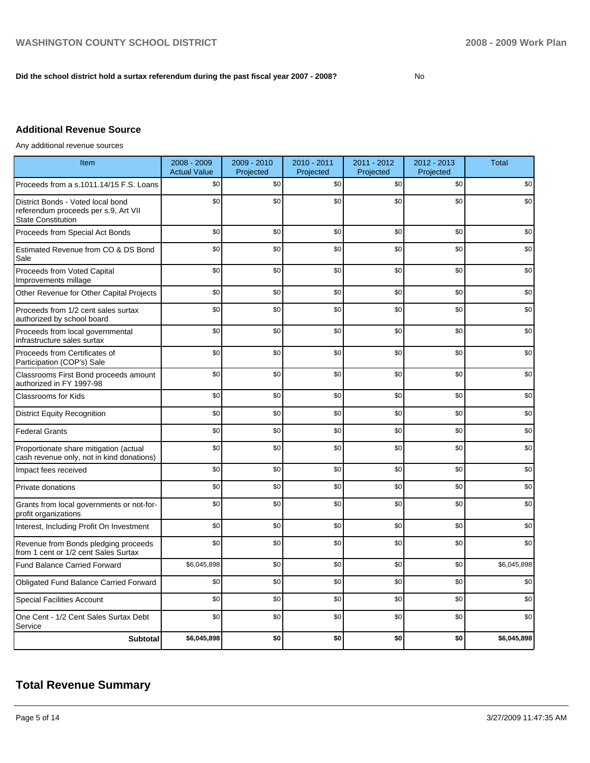### **Did the school district hold a surtax referendum during the past fiscal year 2007 - 2008?** No

# **Additional Revenue Source**

Any additional revenue sources

| Item                                                                                                   | 2008 - 2009<br><b>Actual Value</b> | 2009 - 2010<br>Projected | 2010 - 2011<br>Projected | 2011 - 2012<br>Projected | 2012 - 2013<br>Projected | <b>Total</b> |
|--------------------------------------------------------------------------------------------------------|------------------------------------|--------------------------|--------------------------|--------------------------|--------------------------|--------------|
| Proceeds from a s.1011.14/15 F.S. Loans                                                                | \$0                                | \$0                      | \$0                      | \$0                      | \$0                      | \$0          |
| District Bonds - Voted local bond<br>referendum proceeds per s.9, Art VII<br><b>State Constitution</b> | \$0                                | \$0                      | \$0                      | \$0                      | \$0                      | \$0          |
| Proceeds from Special Act Bonds                                                                        | \$0                                | \$0                      | \$0                      | \$0                      | \$0                      | \$0          |
| Estimated Revenue from CO & DS Bond<br>Sale                                                            | \$0                                | \$0                      | \$0                      | \$0                      | \$0                      | \$0          |
| Proceeds from Voted Capital<br>Improvements millage                                                    | \$0                                | \$0                      | \$0                      | \$0                      | \$0                      | \$0          |
| Other Revenue for Other Capital Projects                                                               | \$0                                | \$0                      | \$0                      | \$0                      | \$0                      | \$0          |
| Proceeds from 1/2 cent sales surtax<br>authorized by school board                                      | \$0                                | \$0                      | \$0                      | \$0                      | \$0                      | \$0          |
| Proceeds from local governmental<br>infrastructure sales surtax                                        | \$0                                | \$0                      | \$0                      | \$0                      | \$0                      | \$0          |
| Proceeds from Certificates of<br>Participation (COP's) Sale                                            | \$0                                | \$0                      | \$0                      | \$0                      | \$0                      | \$0          |
| Classrooms First Bond proceeds amount<br>authorized in FY 1997-98                                      | \$0                                | \$0                      | \$0                      | \$0                      | \$0                      | \$0          |
| <b>Classrooms for Kids</b>                                                                             | \$0                                | \$0                      | \$0                      | \$0                      | \$0                      | \$0          |
| <b>District Equity Recognition</b>                                                                     | \$0                                | \$0                      | \$0                      | \$0                      | \$0                      | \$0          |
| <b>Federal Grants</b>                                                                                  | \$0                                | \$0                      | \$0                      | \$0                      | \$0                      | \$0          |
| Proportionate share mitigation (actual<br>cash revenue only, not in kind donations)                    | \$0                                | \$0                      | \$0                      | \$0                      | \$0                      | \$0          |
| Impact fees received                                                                                   | \$0                                | \$0                      | \$0                      | \$0                      | \$0                      | \$0          |
| Private donations                                                                                      | \$0                                | \$0                      | \$0                      | \$0                      | \$0                      | \$0          |
| Grants from local governments or not-for-<br>profit organizations                                      | \$0                                | \$0                      | \$0                      | \$0                      | \$0                      | \$0          |
| Interest, Including Profit On Investment                                                               | \$0                                | \$0                      | \$0                      | \$0                      | \$0                      | \$0          |
| Revenue from Bonds pledging proceeds<br>from 1 cent or 1/2 cent Sales Surtax                           | \$0                                | \$0                      | \$0                      | \$0                      | \$0                      | \$0          |
| <b>Fund Balance Carried Forward</b>                                                                    | \$6,045,898                        | \$0                      | \$0                      | \$0                      | \$0                      | \$6,045,898  |
| Obligated Fund Balance Carried Forward                                                                 | \$0                                | \$0                      | \$0                      | \$0                      | \$0                      | \$0          |
| <b>Special Facilities Account</b>                                                                      | \$0                                | \$0                      | \$0                      | \$0                      | \$0                      | \$0          |
| One Cent - 1/2 Cent Sales Surtax Debt<br>Service                                                       | \$0                                | \$0                      | \$0                      | \$0                      | \$0                      | \$0          |
| <b>Subtotal</b>                                                                                        | \$6,045,898                        | \$0                      | \$0                      | \$0                      | \$0                      | \$6,045,898  |

# **Total Revenue Summary**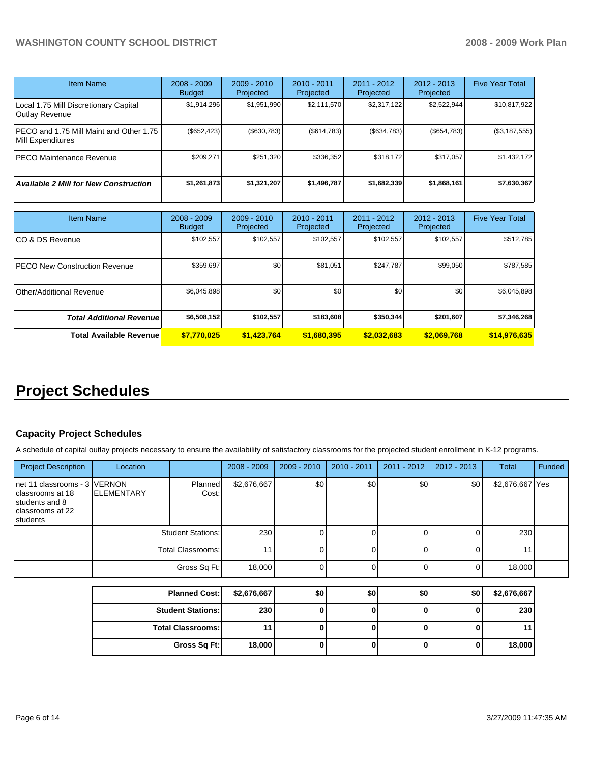| <b>Item Name</b>                                             | $2008 - 2009$<br><b>Budget</b> | $2009 - 2010$<br>Projected | $2010 - 2011$<br>Projected | $2011 - 2012$<br>Projected | $2012 - 2013$<br>Projected | <b>Five Year Total</b> |
|--------------------------------------------------------------|--------------------------------|----------------------------|----------------------------|----------------------------|----------------------------|------------------------|
| Local 1.75 Mill Discretionary Capital<br>Outlay Revenue      | \$1,914,296                    | \$1,951,990                | \$2,111,570                | \$2,317,122                | \$2,522,944                | \$10,817,922           |
| PECO and 1.75 Mill Maint and Other 1.75<br>Mill Expenditures | (\$652, 423)                   | (\$630,783)                | (\$614,783)                | (\$634,783)                | (\$654,783)                | $(\$3,187,555)$        |
| PECO Maintenance Revenue                                     | \$209,271                      | \$251,320                  | \$336,352                  | \$318,172                  | \$317,057                  | \$1,432,172            |
| <b>Available 2 Mill for New Construction</b>                 | \$1,261,873                    | \$1,321,207                | \$1,496,787                | \$1,682,339                | \$1,868,161                | \$7,630,367            |

| <b>Item Name</b>                      | $2008 - 2009$<br><b>Budget</b> | $2009 - 2010$<br>Projected | $2010 - 2011$<br>Projected | 2011 - 2012<br>Projected | $2012 - 2013$<br>Projected | <b>Five Year Total</b> |
|---------------------------------------|--------------------------------|----------------------------|----------------------------|--------------------------|----------------------------|------------------------|
| ICO & DS Revenue                      | \$102,557                      | \$102,557                  | \$102,557                  | \$102,557                | \$102,557                  | \$512,785              |
| <b>IPECO New Construction Revenue</b> | \$359,697                      | \$0                        | \$81,051                   | \$247,787                | \$99,050                   | \$787,585              |
| <b>IOther/Additional Revenue</b>      | \$6,045,898                    | \$0                        | \$0                        | \$0                      | \$0 <sub>1</sub>           | \$6,045,898            |
| <b>Total Additional Revenuel</b>      | \$6,508,152                    | \$102,557                  | \$183,608                  | \$350,344                | \$201,607                  | \$7,346,268            |
| <b>Total Available Revenue</b>        | \$7,770,025                    | \$1.423.764                | \$1,680,395                | \$2,032,683              | \$2,069,768                | \$14,976,635           |

# **Project Schedules**

## **Capacity Project Schedules**

A schedule of capital outlay projects necessary to ensure the availability of satisfactory classrooms for the projected student enrollment in K-12 programs.

| <b>Project Description</b>                                                                          | Location                                      |                  | $2008 - 2009$ | $2009 - 2010$ | $2010 - 2011$ | $2011 - 2012$ | $2012 - 2013$ | Total           | Funded |
|-----------------------------------------------------------------------------------------------------|-----------------------------------------------|------------------|---------------|---------------|---------------|---------------|---------------|-----------------|--------|
| net 11 classrooms - 3 IVERNON<br>classrooms at 18<br>students and 8<br>classrooms at 22<br>students | <b>IELEMENTARY</b>                            | Planned<br>Cost: | \$2,676,667   | \$0           | \$0           | \$0           | \$0           | \$2,676,667 Yes |        |
|                                                                                                     | <b>Student Stations:</b><br>Total Classrooms: |                  | 230           |               |               |               |               | 230             |        |
|                                                                                                     |                                               |                  | 11            |               |               |               |               | 11              |        |
|                                                                                                     |                                               | Gross Sq Ft:     | 18,000        |               |               |               |               | 18,000          |        |
|                                                                                                     |                                               |                  |               |               |               |               |               |                 |        |
|                                                                                                     | <b>Planned Cost:</b>                          |                  | \$2,676,667   | \$0           | \$0           | \$0           | \$0           | \$2,676,667     |        |
|                                                                                                     |                                               | Chidant Ctatione | 2201          | ΩI            |               | ΩI            | ΩI            | 220             |        |

| <b>Student Stations:</b> | 230    | u |  | 230    |
|--------------------------|--------|---|--|--------|
| <b>Total Classrooms:</b> |        |   |  |        |
| Gross Sq Ft:             | 18,000 |   |  | 18,000 |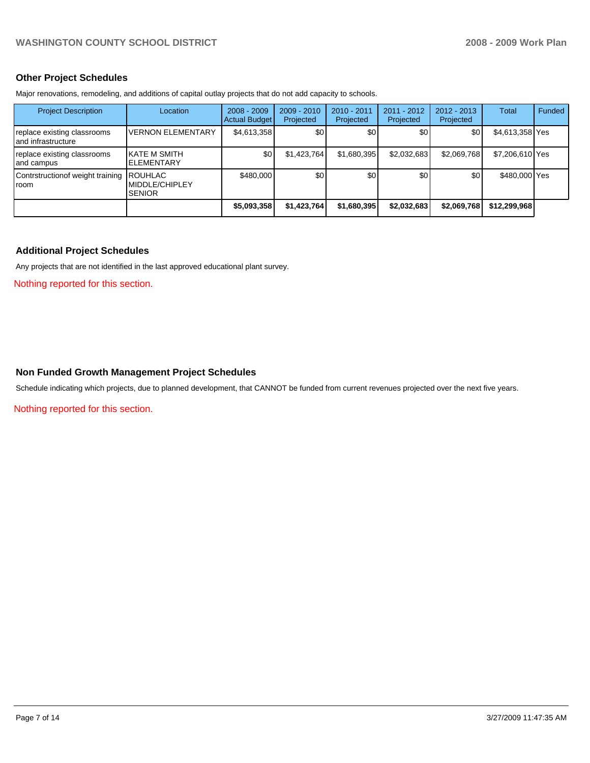## **Other Project Schedules**

Major renovations, remodeling, and additions of capital outlay projects that do not add capacity to schools.

| <b>Project Description</b>                         | Location                                          | $2008 - 2009$<br>Actual Budget | $2009 - 2010$<br>Projected | 2010 - 2011<br>Projected | $2011 - 2012$<br>Projected | $2012 - 2013$<br>Projected | Total           | Funded |
|----------------------------------------------------|---------------------------------------------------|--------------------------------|----------------------------|--------------------------|----------------------------|----------------------------|-----------------|--------|
| replace existing classrooms<br>Iand infrastructure | <b>VERNON ELEMENTARY</b>                          | \$4,613,358                    | \$0                        | \$0                      | \$0                        | \$0                        | \$4,613,358 Yes |        |
| replace existing classrooms<br>and campus          | IKATE M SMITH<br><b>I</b> ELEMENTARY              | \$0                            | \$1,423,764                | \$1,680,395              | \$2.032.683                | \$2.069.768                | \$7,206,610 Yes |        |
| Contrstruction of weight training<br><b>I</b> room | <b>ROUHLAC</b><br>MIDDLE/CHIPLEY<br><b>SENIOR</b> | \$480,000                      | \$0                        | \$0                      | \$0                        | \$0                        | \$480,000 Yes   |        |
|                                                    |                                                   | \$5,093,358                    | \$1,423,764                | \$1,680,395              | \$2,032,683                | \$2,069,768                | \$12,299,968    |        |

## **Additional Project Schedules**

Any projects that are not identified in the last approved educational plant survey.

Nothing reported for this section.

## **Non Funded Growth Management Project Schedules**

Schedule indicating which projects, due to planned development, that CANNOT be funded from current revenues projected over the next five years.

Nothing reported for this section.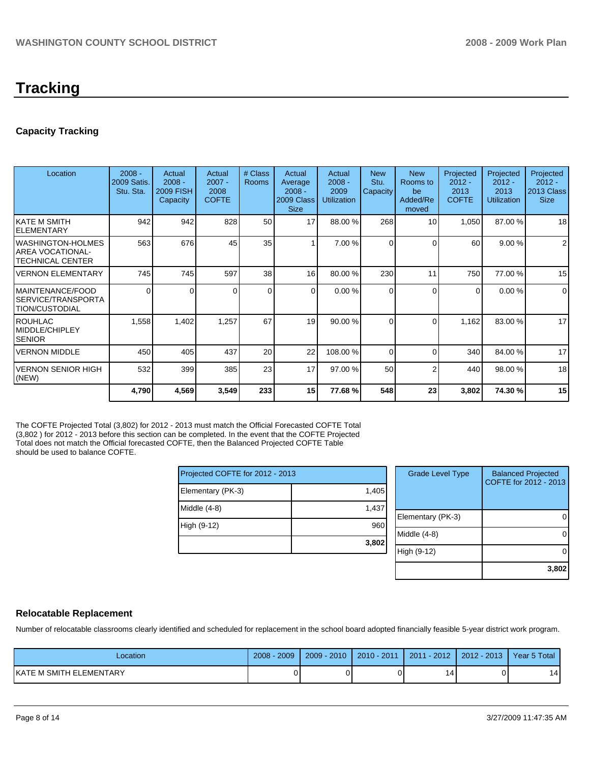# **Capacity Tracking**

| Location                                                     | $2008 -$<br><b>2009 Satis.</b><br>Stu. Sta. | Actual<br>$2008 -$<br><b>2009 FISH</b><br>Capacity | Actual<br>$2007 -$<br>2008<br><b>COFTE</b> | # Class<br><b>Rooms</b> | Actual<br>Average<br>$2008 -$<br>2009 Class<br><b>Size</b> | Actual<br>$2008 -$<br>2009<br><b>Utilization</b> | <b>New</b><br>Stu.<br>Capacity | <b>New</b><br>Rooms to<br>be<br>Added/Re<br>moved | Projected<br>$2012 -$<br>2013<br><b>COFTE</b> | Projected<br>$2012 -$<br>2013<br><b>Utilization</b> | Projected<br>$2012 -$<br>2013 Class<br><b>Size</b> |
|--------------------------------------------------------------|---------------------------------------------|----------------------------------------------------|--------------------------------------------|-------------------------|------------------------------------------------------------|--------------------------------------------------|--------------------------------|---------------------------------------------------|-----------------------------------------------|-----------------------------------------------------|----------------------------------------------------|
| IKATE M SMITH<br>IELEMENTARY                                 | 942                                         | 942                                                | 828                                        | 50                      | 17                                                         | 88.00 %                                          | 268                            | 10                                                | 1,050                                         | 87.00 %                                             | 18                                                 |
| IWASHINGTON-HOLMES<br>IAREA VOCATIONAL-<br>ITECHNICAL CENTER | 563                                         | 676                                                | 45                                         | 35                      |                                                            | 7.00 %                                           | $\Omega$                       | $\Omega$                                          | 60                                            | 9.00%                                               | $\overline{2}$                                     |
| lVERNON ELEMENTARY                                           | 745                                         | 745                                                | 597                                        | 38                      | 16                                                         | 80.00 %                                          | 230                            | 11                                                | 750                                           | 77.00 %                                             | 15                                                 |
| IMAINTENANCE/FOOD<br>ISERVICE/TRANSPORTA<br>ITION/CUSTODIAL  | 0                                           | $\Omega$                                           |                                            | $\Omega$                | $\Omega$                                                   | 0.00%                                            | $\Omega$                       | $\Omega$                                          | $\Omega$                                      | 0.00 %                                              | $\Omega$                                           |
| <b>IROUHLAC</b><br>IMIDDLE/CHIPLEY<br><b>SENIOR</b>          | 1,558                                       | 1,402                                              | 1,257                                      | 67                      | 19                                                         | 90.00 %                                          | $\Omega$                       | $\Omega$                                          | 1,162                                         | 83.00 %                                             | 17                                                 |
| IVERNON MIDDLE                                               | 450                                         | 405                                                | 437                                        | 20                      | 22                                                         | 108.00 %                                         | $\Omega$                       | $\Omega$                                          | 340                                           | 84.00 %                                             | 17                                                 |
| VERNON SENIOR HIGH<br>(NEW)                                  | 532                                         | 399                                                | 385                                        | 23                      | 17                                                         | 97.00 %                                          | 50                             | 2                                                 | 440                                           | 98.00 %                                             | 18                                                 |
|                                                              | 4,790                                       | 4,569                                              | 3,549                                      | 233                     | 15                                                         | 77.68%                                           | 548                            | 23                                                | 3,802                                         | 74.30 %                                             | 15                                                 |

The COFTE Projected Total (3,802) for 2012 - 2013 must match the Official Forecasted COFTE Total (3,802 ) for 2012 - 2013 before this section can be completed. In the event that the COFTE Projected Total does not match the Official forecasted COFTE, then the Balanced Projected COFTE Table should be used to balance COFTE.

| Projected COFTE for 2012 - 2013 |       |  |  |  |  |
|---------------------------------|-------|--|--|--|--|
| Elementary (PK-3)               | 1,405 |  |  |  |  |
| Middle $(4-8)$                  | 1,437 |  |  |  |  |
| High (9-12)                     | 960   |  |  |  |  |
|                                 | 3,802 |  |  |  |  |

| <b>Grade Level Type</b> | <b>Balanced Projected</b><br>COFTE for 2012 - 2013 |
|-------------------------|----------------------------------------------------|
| Elementary (PK-3)       |                                                    |
| Middle (4-8)            |                                                    |
| High (9-12)             |                                                    |
|                         | 3,802                                              |

# **Relocatable Replacement**

Number of relocatable classrooms clearly identified and scheduled for replacement in the school board adopted financially feasible 5-year district work program.

| Location                 | 2009<br>2008 | $2009 - 2010$ | $2010 - 2011$ | $2011 - 2012$ | 2012 - 2013 | Year 5 Total |
|--------------------------|--------------|---------------|---------------|---------------|-------------|--------------|
| IKATE M SMITH ELEMENTARY |              |               |               |               |             | 14           |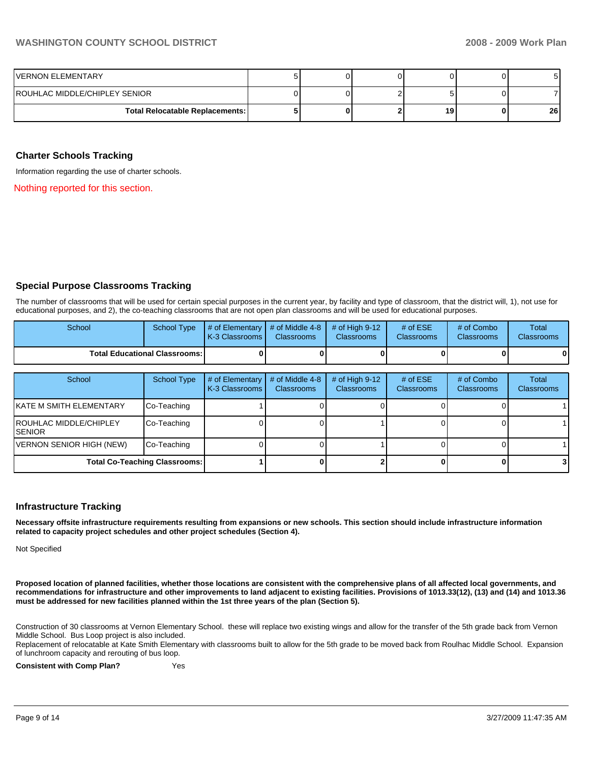| IVERNON ELEMENTARY                     | ັ |  |    |    |
|----------------------------------------|---|--|----|----|
| IROUHLAC MIDDLE/CHIPLEY SENIOR         |   |  |    |    |
| <b>Total Relocatable Replacements:</b> |   |  | 19 | 26 |

### **Charter Schools Tracking**

Information regarding the use of charter schools.

Nothing reported for this section.

## **Special Purpose Classrooms Tracking**

The number of classrooms that will be used for certain special purposes in the current year, by facility and type of classroom, that the district will, 1), not use for educational purposes, and 2), the co-teaching classrooms that are not open plan classrooms and will be used for educational purposes.

| School                                 | School Type | $\parallel$ # of Elementary $\parallel$ # of Middle 4-8 $\parallel$ # of High 9-12<br><b>IK-3 Classrooms L</b> | <b>Classrooms</b> | <b>Classrooms</b> | # of $ESE$<br><b>Classrooms</b> | # of Combo<br><b>Classrooms</b> | Total<br><b>Classrooms</b> |
|----------------------------------------|-------------|----------------------------------------------------------------------------------------------------------------|-------------------|-------------------|---------------------------------|---------------------------------|----------------------------|
| <b>Total Educational Classrooms: I</b> |             | 0                                                                                                              |                   |                   | 01                              | $\mathbf{0}$                    |                            |

| School                                    | <b>School Type</b> | # of Elementary<br>K-3 Classrooms | # of Middle 4-8<br><b>Classrooms</b> | # of High $9-12$<br><b>Classrooms</b> | # of $ESE$<br><b>Classrooms</b> | # of Combo<br><b>Classrooms</b> | Total<br>Classrooms |
|-------------------------------------------|--------------------|-----------------------------------|--------------------------------------|---------------------------------------|---------------------------------|---------------------------------|---------------------|
| IKATE M SMITH ELEMENTARY                  | Co-Teaching        |                                   |                                      |                                       |                                 |                                 |                     |
| <b>IROUHLAC MIDDLE/CHIPLEY</b><br>ISENIOR | Co-Teaching        |                                   |                                      |                                       |                                 |                                 |                     |
| VERNON SENIOR HIGH (NEW)                  | Co-Teaching        |                                   |                                      |                                       |                                 |                                 |                     |
| <b>Total Co-Teaching Classrooms:</b>      |                    |                                   |                                      |                                       |                                 |                                 | 3                   |

#### **Infrastructure Tracking**

**Necessary offsite infrastructure requirements resulting from expansions or new schools. This section should include infrastructure information related to capacity project schedules and other project schedules (Section 4).** 

Not Specified

**Proposed location of planned facilities, whether those locations are consistent with the comprehensive plans of all affected local governments, and recommendations for infrastructure and other improvements to land adjacent to existing facilities. Provisions of 1013.33(12), (13) and (14) and 1013.36 must be addressed for new facilities planned within the 1st three years of the plan (Section 5).** 

Construction of 30 classrooms at Vernon Elementary School. these will replace two existing wings and allow for the transfer of the 5th grade back from Vernon Middle School. Bus Loop project is also included.

Replacement of relocatable at Kate Smith Elementary with classrooms built to allow for the 5th grade to be moved back from Roulhac Middle School. Expansion of lunchroom capacity and rerouting of bus loop.

**Consistent with Comp Plan?** Yes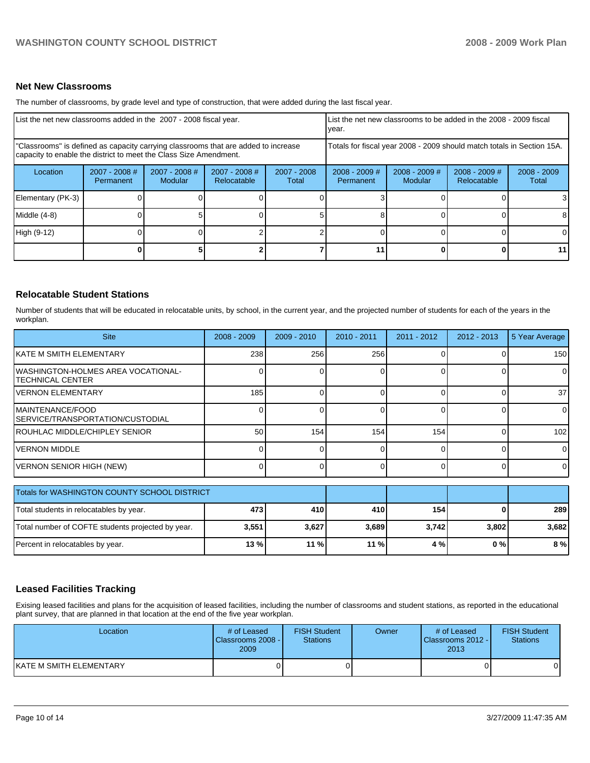## **Net New Classrooms**

The number of classrooms, by grade level and type of construction, that were added during the last fiscal year.

| List the net new classrooms added in the 2007 - 2008 fiscal year.                                                                                       |                              |                                 |                              |                      | List the net new classrooms to be added in the 2008 - 2009 fiscal<br>year. |                                   |                                |                        |  |
|---------------------------------------------------------------------------------------------------------------------------------------------------------|------------------------------|---------------------------------|------------------------------|----------------------|----------------------------------------------------------------------------|-----------------------------------|--------------------------------|------------------------|--|
| "Classrooms" is defined as capacity carrying classrooms that are added to increase<br>capacity to enable the district to meet the Class Size Amendment. |                              |                                 |                              |                      | Totals for fiscal year 2008 - 2009 should match totals in Section 15A.     |                                   |                                |                        |  |
| Location                                                                                                                                                | $2007 - 2008$ #<br>Permanent | 2007 - 2008 #<br><b>Modular</b> | 2007 - 2008 #<br>Relocatable | 2007 - 2008<br>Total | $2008 - 2009$ #<br><b>Permanent</b>                                        | $2008 - 2009$ #<br><b>Modular</b> | $2008 - 2009$ #<br>Relocatable | $2008 - 2009$<br>Total |  |
| Elementary (PK-3)                                                                                                                                       |                              |                                 |                              |                      |                                                                            |                                   |                                | 3                      |  |
| Middle (4-8)                                                                                                                                            |                              |                                 |                              |                      |                                                                            |                                   |                                | 8                      |  |
| High (9-12)                                                                                                                                             |                              |                                 |                              |                      |                                                                            |                                   |                                | $\Omega$               |  |
|                                                                                                                                                         |                              |                                 |                              |                      | 11                                                                         |                                   |                                | 11                     |  |

## **Relocatable Student Stations**

Number of students that will be educated in relocatable units, by school, in the current year, and the projected number of students for each of the years in the workplan.

| <b>Site</b>                                              | $2008 - 2009$ | $2009 - 2010$ | 2010 - 2011 | 2011 - 2012 | 2012 - 2013  | 5 Year Average |
|----------------------------------------------------------|---------------|---------------|-------------|-------------|--------------|----------------|
| KATE M SMITH ELEMENTARY                                  | 238           | 256           | 256         |             |              | 150            |
| IWASHINGTON-HOLMES AREA VOCATIONAL-<br>ITECHNICAL CENTER |               |               | 0           | ∩           |              | 0              |
| lVERNON ELEMENTARY                                       | 185           |               | 0           | $\Omega$    |              | 37             |
| MAINTENANCE/FOOD<br>SERVICE/TRANSPORTATION/CUSTODIAL     |               |               | 0           | $\Omega$    |              | 0              |
| <b>IROUHLAC MIDDLE/CHIPLEY SENIOR</b>                    | 50            | 154           | 154         | 154         | $\Omega$     | 102            |
| IVERNON MIDDLE                                           | $\Omega$      |               | 0           | 0           | $\Omega$     | 0              |
| VERNON SENIOR HIGH (NEW)                                 | $\Omega$      |               | 0           | 0           | $\Omega$     | $\Omega$       |
| Totals for WASHINGTON COUNTY SCHOOL DISTRICT             |               |               |             |             |              |                |
| Total students in relocatables by year.                  | 473           | 410           | 410         | 154         | <sup>0</sup> | 289            |
| Total number of COFTE students projected by year.        | 3,551         | 3,627         | 3,689       | 3,742       | 3,802        | 3,682          |
| Percent in relocatables by year.                         | 13%           | 11 %          | 11 %        | 4 %         | 0%           | 8%             |

## **Leased Facilities Tracking**

Exising leased facilities and plans for the acquisition of leased facilities, including the number of classrooms and student stations, as reported in the educational plant survey, that are planned in that location at the end of the five year workplan.

| Location                | # of Leased<br>Classrooms 2008 -<br>2009 | <b>FISH Student</b><br><b>Stations</b> | Owner | # of Leased<br>Classrooms 2012 -<br>2013 | <b>FISH Student</b><br><b>Stations</b> |
|-------------------------|------------------------------------------|----------------------------------------|-------|------------------------------------------|----------------------------------------|
| KATE M SMITH ELEMENTARY |                                          |                                        |       |                                          | 01                                     |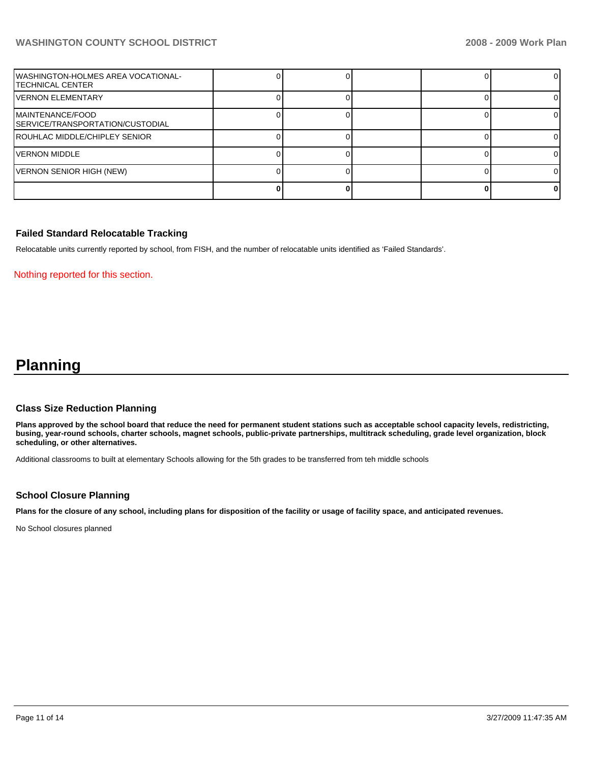| WASHINGTON-HOLMES AREA VOCATIONAL-<br>ITECHNICAL CENTER |  |  | ΩI |
|---------------------------------------------------------|--|--|----|
| IVERNON ELEMENTARY                                      |  |  |    |
| IMAINTENANCE/FOOD<br>SERVICE/TRANSPORTATION/CUSTODIAL   |  |  |    |
| ROUHLAC MIDDLE/CHIPLEY SENIOR                           |  |  |    |
| IVERNON MIDDLE                                          |  |  |    |
| VERNON SENIOR HIGH (NEW)                                |  |  |    |
|                                                         |  |  |    |

# **Failed Standard Relocatable Tracking**

Relocatable units currently reported by school, from FISH, and the number of relocatable units identified as 'Failed Standards'.

### Nothing reported for this section.

# **Planning**

## **Class Size Reduction Planning**

**Plans approved by the school board that reduce the need for permanent student stations such as acceptable school capacity levels, redistricting, busing, year-round schools, charter schools, magnet schools, public-private partnerships, multitrack scheduling, grade level organization, block scheduling, or other alternatives.** 

Additional classrooms to built at elementary Schools allowing for the 5th grades to be transferred from teh middle schools

## **School Closure Planning**

**Plans for the closure of any school, including plans for disposition of the facility or usage of facility space, and anticipated revenues.** 

No School closures planned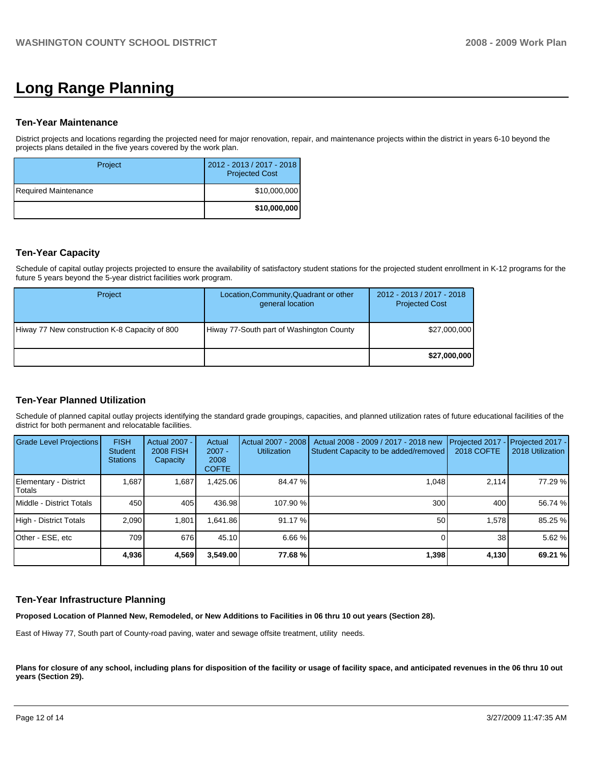# **Long Range Planning**

## **Ten-Year Maintenance**

District projects and locations regarding the projected need for major renovation, repair, and maintenance projects within the district in years 6-10 beyond the projects plans detailed in the five years covered by the work plan.

| Project              | 2012 - 2013 / 2017 - 2018<br><b>Projected Cost</b> |
|----------------------|----------------------------------------------------|
| Required Maintenance | \$10,000,000                                       |
|                      | \$10,000,000                                       |

## **Ten-Year Capacity**

Schedule of capital outlay projects projected to ensure the availability of satisfactory student stations for the projected student enrollment in K-12 programs for the future 5 years beyond the 5-year district facilities work program.

| Project                                       | Location, Community, Quadrant or other<br>general location | 2012 - 2013 / 2017 - 2018<br><b>Projected Cost</b> |
|-----------------------------------------------|------------------------------------------------------------|----------------------------------------------------|
| Hiway 77 New construction K-8 Capacity of 800 | Hiway 77-South part of Washington County                   | \$27,000,000                                       |
|                                               |                                                            | \$27,000,000                                       |

# **Ten-Year Planned Utilization**

Schedule of planned capital outlay projects identifying the standard grade groupings, capacities, and planned utilization rates of future educational facilities of the district for both permanent and relocatable facilities.

| Grade Level Projections         | <b>FISH</b><br>Student<br><b>Stations</b> | Actual 2007 -<br><b>2008 FISH</b><br>Capacity | Actual<br>$2007 -$<br>2008<br><b>COFTE</b> | Actual 2007 - 2008<br><b>Utilization</b> | Actual 2008 - 2009 / 2017 - 2018 new<br>Student Capacity to be added/removed | Projected 2017<br>2018 COFTE | $-$ Projected 2017 -<br>2018 Utilization |
|---------------------------------|-------------------------------------------|-----------------------------------------------|--------------------------------------------|------------------------------------------|------------------------------------------------------------------------------|------------------------------|------------------------------------------|
| Elementary - District<br>Totals | 1,687                                     | 1,687                                         | 1,425.06                                   | 84.47 %                                  | 1.048                                                                        | 2.114                        | 77.29 %                                  |
| Middle - District Totals        | 450                                       | 405                                           | 436.98                                     | 107.90 %                                 | 300                                                                          | 400                          | 56.74 %                                  |
| High - District Totals          | 2.090                                     | 1.801                                         | .641.86                                    | 91.17 %                                  | 50                                                                           | 1.578                        | 85.25 %                                  |
| Other - ESE, etc                | 709                                       | 676                                           | 45.10                                      | 6.66 %                                   |                                                                              | 38 <sub>1</sub>              | 5.62 %                                   |
|                                 | 4,936                                     | 4,569                                         | 3,549.00                                   | 77.68 %                                  | 1,398                                                                        | 4,130                        | 69.21 %                                  |

## **Ten-Year Infrastructure Planning**

**Proposed Location of Planned New, Remodeled, or New Additions to Facilities in 06 thru 10 out years (Section 28).** 

East of Hiway 77, South part of County-road paving, water and sewage offsite treatment, utility needs.

Plans for closure of any school, including plans for disposition of the facility or usage of facility space, and anticipated revenues in the 06 thru 10 out **years (Section 29).**